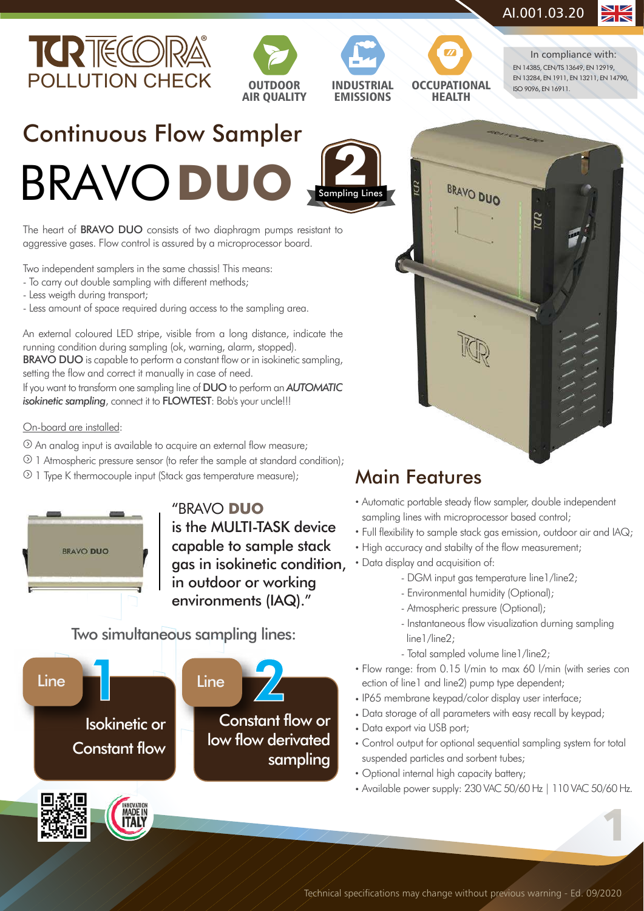$\mathbf S$ 









BRAVO DUO

EN 14385, CEN/TS 13649, EN 12919, EN 13284, EN 1911, EN 13211, EN 14790, ISO 9096, EN 16911. In compliance with:

### Continuous Flow Sampler **BRAVODU** Sam **2** pling Lines

The heart of **BRAVO DUO** consists of two diaphragm pumps resistant to aggressive gases. Flow control is assured by a microprocessor board.

Two independent samplers in the same chassis! This means:

- To carry out double sampling with different methods;
- Less weigth during transport;
- Less amount of space required during access to the sampling area.

An external coloured LED stripe, visible from a long distance, indicate the running condition during sampling (ok, warning, alarm, stopped). BRAVO DUO is capable to perform a constant flow or in isokinetic sampling, setting the flow and correct it manually in case of need.

If you want to transform one sampling line of DUO to perform an *AUTOMATIC isokinetic sampling*, connect it to **FLOWTEST**: Bob's your uncle!!!

### On-board are installed:

- An analog input is available to acquire an external flow measure;
- 1 Atmospheric pressure sensor (to refer the sample at standard condition);
- 1 Type K thermocouple input (Stack gas temperature measure);



"BRAVO **DUO** is the MULTI-TASK device capable to sample stack gas in isokinetic condition, in outdoor or working environments (IAQ)."

Two simultaneous sampling lines:



### Main Features

- Automatic portable steady flow sampler, double independent sampling lines with microprocessor based control;
- Full flexibility to sample stack gas emission, outdoor air and IAQ; •
- High accuracy and stabilty of the flow measurement;
- Data display and acquisition of:
	- DGM input gas temperature line1/line2;
	- Environmental humidity (Optional);
	- Atmospheric pressure (Optional);
	- Instantaneous flow visualization durning sampling line1/line2:
	- Total sampled volume line1/line2;
- Flow range: from 0.15 l/min to max 60 l/min (with series con ection of line1 and line2) pump type dependent;
- IP65 membrane keypad/color display user interface;
- Data storage of all parameters with easy recall by keypad; •
- Data export via USB port;
- Control output for optional sequential sampling system for total suspended particles and sorbent tubes;
- Optional internal high capacity battery;
- Available power supply: 230 VAC 50/60 Hz | 110 VAC 50/60 Hz.

1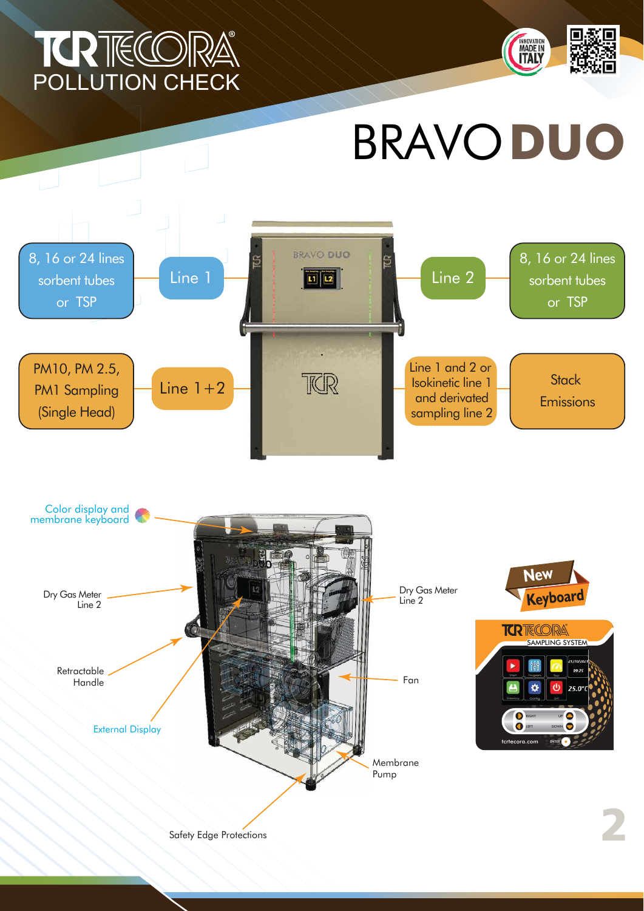## POLLUTION CHECK ®